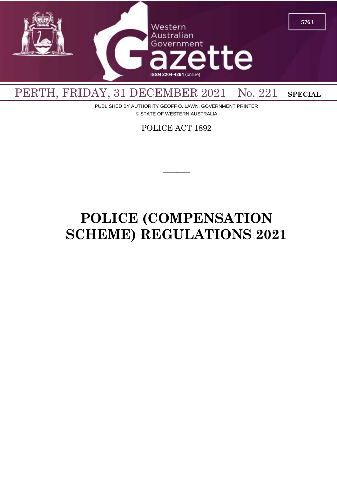

PUBLISHED BY AUTHORITY GEOFF O. LAWN, GOVERNMENT PRINTER © STATE OF WESTERN AUSTRALIA

POLICE ACT 1892

————

# **POLICE (COMPENSATION SCHEME) REGULATIONS 2021**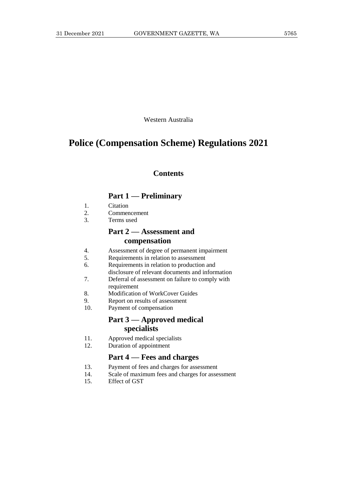Western Australia

# **Police (Compensation Scheme) Regulations 2021**

# **Contents**

# **Part 1 — Preliminary**

- 1. Citation
- 2. Commencement
- 3. Terms used

# **Part 2 — Assessment and compensation**

- 4. Assessment of degree of permanent impairment
- 5. Requirements in relation to assessment
- 6. Requirements in relation to production and disclosure of relevant documents and information
- 7. Deferral of assessment on failure to comply with requirement
- 8. Modification of WorkCover Guides
- 9. Report on results of assessment
- 10. Payment of compensation

# **Part 3 — Approved medical specialists**

- 11. Approved medical specialists
- 12. Duration of appointment

# **Part 4 — Fees and charges**

- 13. Payment of fees and charges for assessment
- 14. Scale of maximum fees and charges for assessment
- 15. Effect of GST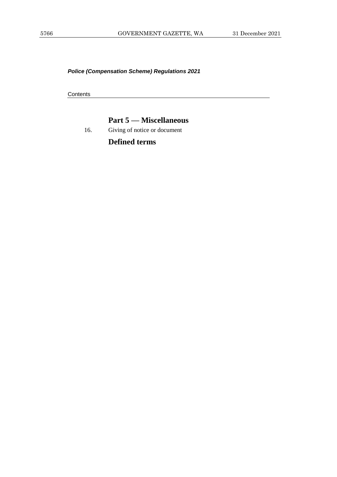*Police (Compensation Scheme) Regulations 2021*

**Contents** 

# **Part 5 — Miscellaneous**

16. Giving of notice or document

**Defined terms**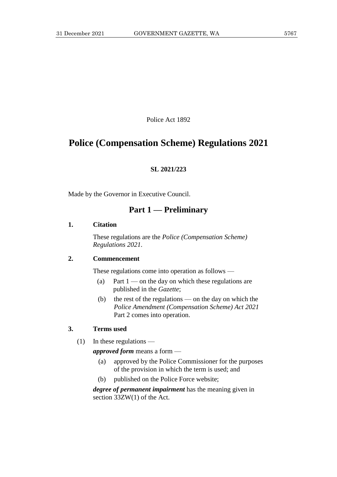Police Act 1892

# **Police (Compensation Scheme) Regulations 2021**

### **SL 2021/223**

Made by the Governor in Executive Council.

# **Part 1 — Preliminary**

#### **1. Citation**

These regulations are the *Police (Compensation Scheme) Regulations 2021*.

#### **2. Commencement**

These regulations come into operation as follows —

- (a) Part  $1$  on the day on which these regulations are published in the *Gazette*;
- (b) the rest of the regulations on the day on which the *Police Amendment (Compensation Scheme) Act 2021*  Part 2 comes into operation.

### **3. Terms used**

(1) In these regulations —

*approved form* means a form —

- (a) approved by the Police Commissioner for the purposes of the provision in which the term is used; and
- (b) published on the Police Force website;

*degree of permanent impairment* has the meaning given in section 33ZW(1) of the Act.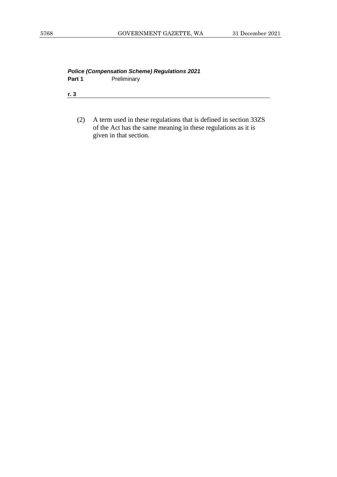| <b>Police (Compensation Scheme) Regulations 2021</b> |             |  |  |  |
|------------------------------------------------------|-------------|--|--|--|
| Part 1                                               | Preliminary |  |  |  |
|                                                      |             |  |  |  |
| r. 3                                                 |             |  |  |  |

(2) A term used in these regulations that is defined in section 33ZS of the Act has the same meaning in these regulations as it is given in that section.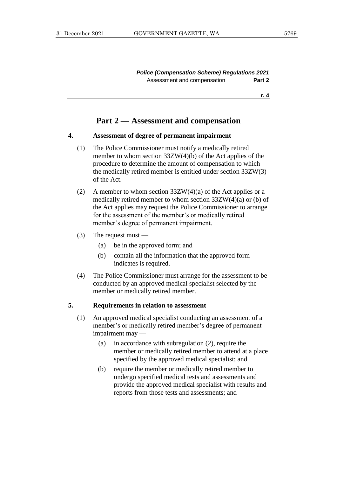*Police (Compensation Scheme) Regulations 2021* Assessment and compensation **Part 2** 

**r. 4**

# **Part 2 — Assessment and compensation**

#### **4. Assessment of degree of permanent impairment**

- (1) The Police Commissioner must notify a medically retired member to whom section 33ZW(4)(b) of the Act applies of the procedure to determine the amount of compensation to which the medically retired member is entitled under section 33ZW(3) of the Act.
- (2) A member to whom section  $33ZW(4)(a)$  of the Act applies or a medically retired member to whom section 33ZW(4)(a) or (b) of the Act applies may request the Police Commissioner to arrange for the assessment of the member's or medically retired member's degree of permanent impairment.
- $(3)$  The request must
	- (a) be in the approved form; and
	- (b) contain all the information that the approved form indicates is required.
- (4) The Police Commissioner must arrange for the assessment to be conducted by an approved medical specialist selected by the member or medically retired member.

#### **5. Requirements in relation to assessment**

- (1) An approved medical specialist conducting an assessment of a member's or medically retired member's degree of permanent impairment may —
	- (a) in accordance with subregulation (2), require the member or medically retired member to attend at a place specified by the approved medical specialist; and
	- (b) require the member or medically retired member to undergo specified medical tests and assessments and provide the approved medical specialist with results and reports from those tests and assessments; and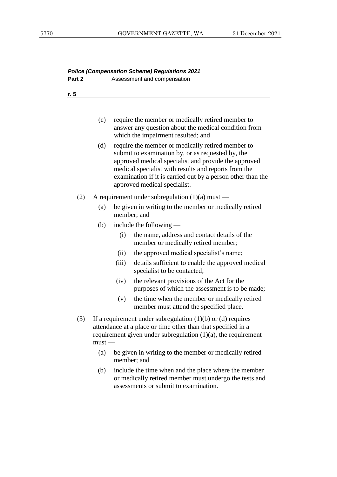|        |          | <b>Police (Compensation Scheme) Regulations 2021</b>                                                                                                                                                                                                                                                                  |  |  |
|--------|----------|-----------------------------------------------------------------------------------------------------------------------------------------------------------------------------------------------------------------------------------------------------------------------------------------------------------------------|--|--|
| Part 2 |          | Assessment and compensation                                                                                                                                                                                                                                                                                           |  |  |
| r. 5   |          |                                                                                                                                                                                                                                                                                                                       |  |  |
|        |          |                                                                                                                                                                                                                                                                                                                       |  |  |
|        | (c)      | require the member or medically retired member to<br>answer any question about the medical condition from<br>which the impairment resulted; and                                                                                                                                                                       |  |  |
|        | (d)      | require the member or medically retired member to<br>submit to examination by, or as requested by, the<br>approved medical specialist and provide the approved<br>medical specialist with results and reports from the<br>examination if it is carried out by a person other than the<br>approved medical specialist. |  |  |
| (2)    |          | A requirement under subregulation $(1)(a)$ must —                                                                                                                                                                                                                                                                     |  |  |
|        | (a)      | be given in writing to the member or medically retired<br>member; and                                                                                                                                                                                                                                                 |  |  |
|        | (b)      | include the following $-$                                                                                                                                                                                                                                                                                             |  |  |
|        |          | the name, address and contact details of the<br>(i)<br>member or medically retired member;                                                                                                                                                                                                                            |  |  |
|        |          | the approved medical specialist's name;<br>(ii)                                                                                                                                                                                                                                                                       |  |  |
|        |          | (iii)<br>details sufficient to enable the approved medical<br>specialist to be contacted;                                                                                                                                                                                                                             |  |  |
|        |          | (iv)<br>the relevant provisions of the Act for the<br>purposes of which the assessment is to be made;                                                                                                                                                                                                                 |  |  |
|        |          | (v)<br>the time when the member or medically retired<br>member must attend the specified place.                                                                                                                                                                                                                       |  |  |
| (3)    | $must -$ | If a requirement under subregulation $(1)(b)$ or $(d)$ requires<br>attendance at a place or time other than that specified in a<br>requirement given under subregulation $(1)(a)$ , the requirement                                                                                                                   |  |  |
|        | (a)      | be given in writing to the member or medically retired<br>member; and                                                                                                                                                                                                                                                 |  |  |
|        | (b)      | include the time when and the place where the member<br>or medically retired member must undergo the tests and<br>assessments or submit to examination.                                                                                                                                                               |  |  |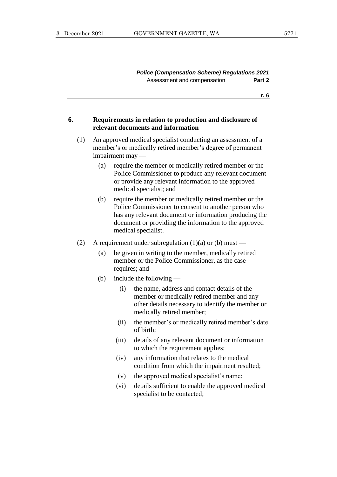**r. 6**

#### **6. Requirements in relation to production and disclosure of relevant documents and information**

- (1) An approved medical specialist conducting an assessment of a member's or medically retired member's degree of permanent impairment may —
	- (a) require the member or medically retired member or the Police Commissioner to produce any relevant document or provide any relevant information to the approved medical specialist; and
	- (b) require the member or medically retired member or the Police Commissioner to consent to another person who has any relevant document or information producing the document or providing the information to the approved medical specialist.
- (2) A requirement under subregulation  $(1)(a)$  or  $(b)$  must
	- (a) be given in writing to the member, medically retired member or the Police Commissioner, as the case requires; and
	- (b) include the following
		- (i) the name, address and contact details of the member or medically retired member and any other details necessary to identify the member or medically retired member;
		- (ii) the member's or medically retired member's date of birth;
		- (iii) details of any relevant document or information to which the requirement applies;
		- (iv) any information that relates to the medical condition from which the impairment resulted;
		- (v) the approved medical specialist's name;
		- (vi) details sufficient to enable the approved medical specialist to be contacted;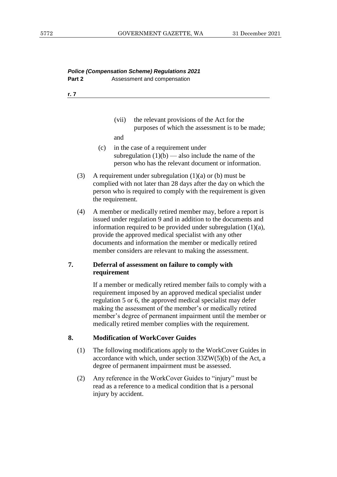## *Police (Compensation Scheme) Regulations 2021* **Part 2** Assessment and compensation

**r. 7**

(vii) the relevant provisions of the Act for the purposes of which the assessment is to be made;

and

- (c) in the case of a requirement under subregulation  $(1)(b)$  — also include the name of the person who has the relevant document or information.
- (3) A requirement under subregulation  $(1)(a)$  or  $(b)$  must be complied with not later than 28 days after the day on which the person who is required to comply with the requirement is given the requirement.
- (4) A member or medically retired member may, before a report is issued under regulation 9 and in addition to the documents and information required to be provided under subregulation (1)(a), provide the approved medical specialist with any other documents and information the member or medically retired member considers are relevant to making the assessment.

## **7. Deferral of assessment on failure to comply with requirement**

If a member or medically retired member fails to comply with a requirement imposed by an approved medical specialist under regulation 5 or 6, the approved medical specialist may defer making the assessment of the member's or medically retired member's degree of permanent impairment until the member or medically retired member complies with the requirement.

# **8. Modification of WorkCover Guides**

- (1) The following modifications apply to the WorkCover Guides in accordance with which, under section  $33ZW(5)(b)$  of the Act, a degree of permanent impairment must be assessed.
- (2) Any reference in the WorkCover Guides to "injury" must be read as a reference to a medical condition that is a personal injury by accident.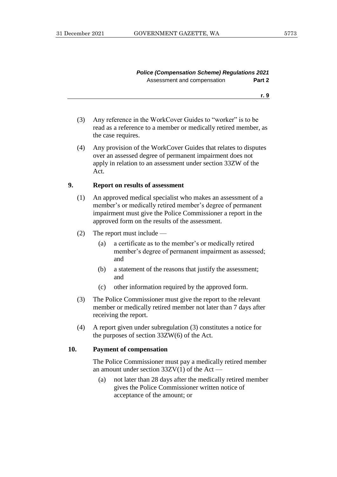**r. 9**

- (3) Any reference in the WorkCover Guides to "worker" is to be read as a reference to a member or medically retired member, as the case requires.
- (4) Any provision of the WorkCover Guides that relates to disputes over an assessed degree of permanent impairment does not apply in relation to an assessment under section 33ZW of the Act.

### **9. Report on results of assessment**

- (1) An approved medical specialist who makes an assessment of a member's or medically retired member's degree of permanent impairment must give the Police Commissioner a report in the approved form on the results of the assessment.
- (2) The report must include
	- (a) a certificate as to the member's or medically retired member's degree of permanent impairment as assessed; and
	- (b) a statement of the reasons that justify the assessment; and
	- (c) other information required by the approved form.
- (3) The Police Commissioner must give the report to the relevant member or medically retired member not later than 7 days after receiving the report.
- (4) A report given under subregulation (3) constitutes a notice for the purposes of section 33ZW(6) of the Act.

#### **10. Payment of compensation**

The Police Commissioner must pay a medically retired member an amount under section  $33ZV(1)$  of the Act —

(a) not later than 28 days after the medically retired member gives the Police Commissioner written notice of acceptance of the amount; or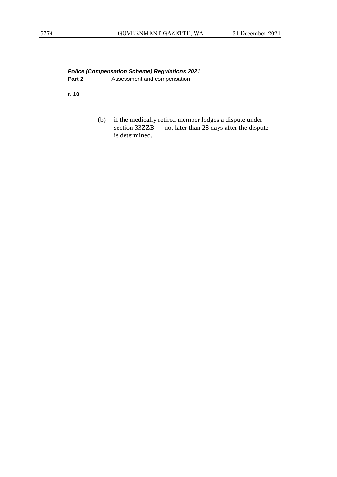*Police (Compensation Scheme) Regulations 2021* **Assessment and compensation** 

**r. 10**

(b) if the medically retired member lodges a dispute under section 33ZZB — not later than 28 days after the dispute is determined.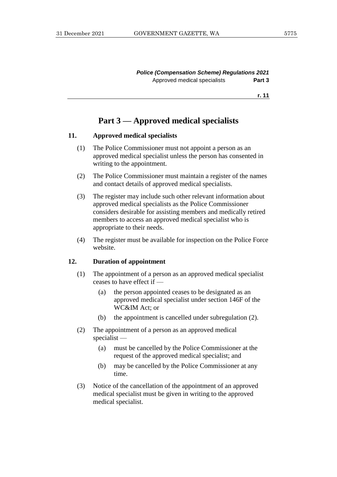*Police (Compensation Scheme) Regulations 2021* Approved medical specialists **Part 3**

**r. 11**

# **Part 3 — Approved medical specialists**

#### **11. Approved medical specialists**

- (1) The Police Commissioner must not appoint a person as an approved medical specialist unless the person has consented in writing to the appointment.
- (2) The Police Commissioner must maintain a register of the names and contact details of approved medical specialists.
- (3) The register may include such other relevant information about approved medical specialists as the Police Commissioner considers desirable for assisting members and medically retired members to access an approved medical specialist who is appropriate to their needs.
- (4) The register must be available for inspection on the Police Force website.

#### **12. Duration of appointment**

- (1) The appointment of a person as an approved medical specialist ceases to have effect if —
	- (a) the person appointed ceases to be designated as an approved medical specialist under section 146F of the WC&IM Act; or
	- (b) the appointment is cancelled under subregulation (2).
- (2) The appointment of a person as an approved medical specialist —
	- (a) must be cancelled by the Police Commissioner at the request of the approved medical specialist; and
	- (b) may be cancelled by the Police Commissioner at any time.
- (3) Notice of the cancellation of the appointment of an approved medical specialist must be given in writing to the approved medical specialist.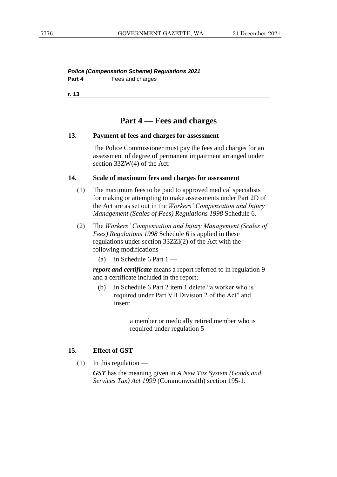*Police (Compensation Scheme) Regulations 2021* **Part 4** Fees and charges

**r. 13**

# **Part 4 — Fees and charges**

#### **13. Payment of fees and charges for assessment**

The Police Commissioner must pay the fees and charges for an assessment of degree of permanent impairment arranged under section 33ZW(4) of the Act.

#### **14. Scale of maximum fees and charges for assessment**

- (1) The maximum fees to be paid to approved medical specialists for making or attempting to make assessments under Part 2D of the Act are as set out in the *Workers' Compensation and Injury Management (Scales of Fees) Regulations 1998* Schedule 6.
- (2) The *Workers' Compensation and Injury Management (Scales of Fees) Regulations 1998* Schedule 6 is applied in these regulations under section 33ZZI(2) of the Act with the following modifications —
	- (a) in Schedule 6 Part  $1 -$

*report and certificate* means a report referred to in regulation 9 and a certificate included in the report;

(b) in Schedule 6 Part 2 item 1 delete "a worker who is required under Part VII Division 2 of the Act" and insert:

> a member or medically retired member who is required under regulation 5

#### **15. Effect of GST**

 $(1)$  In this regulation —

*GST* has the meaning given in *A New Tax System (Goods and Services Tax) Act 1999* (Commonwealth) section 195-1.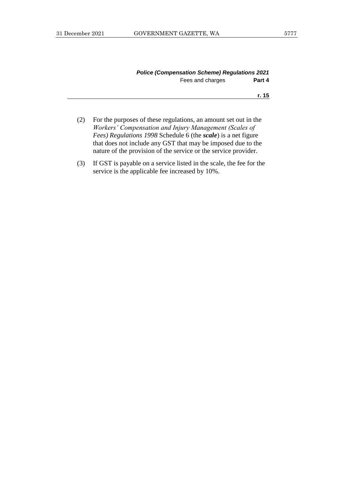| <b>Police (Compensation Scheme) Regulations 2021</b> |                  |        |
|------------------------------------------------------|------------------|--------|
|                                                      | Fees and charges | Part 4 |

#### **r. 15**

- (2) For the purposes of these regulations, an amount set out in the *Workers' Compensation and Injury Management (Scales of Fees) Regulations 1998* Schedule 6 (the *scale*) is a net figure that does not include any GST that may be imposed due to the nature of the provision of the service or the service provider.
- (3) If GST is payable on a service listed in the scale, the fee for the service is the applicable fee increased by 10%.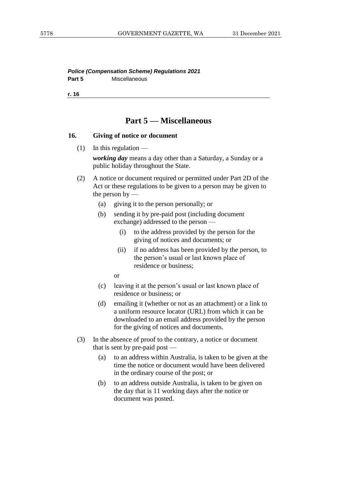*Police (Compensation Scheme) Regulations 2021* Part 5 **Miscellaneous** 

**r. 16**

# **Part 5 — Miscellaneous**

#### **16. Giving of notice or document**

 $(1)$  In this regulation —

*working day* means a day other than a Saturday, a Sunday or a public holiday throughout the State.

- (2) A notice or document required or permitted under Part 2D of the Act or these regulations to be given to a person may be given to the person by  $-$ 
	- (a) giving it to the person personally; or
	- (b) sending it by pre-paid post (including document exchange) addressed to the person —
		- (i) to the address provided by the person for the giving of notices and documents; or
		- (ii) if no address has been provided by the person, to the person's usual or last known place of residence or business;

or

- (c) leaving it at the person's usual or last known place of residence or business; or
- (d) emailing it (whether or not as an attachment) or a link to a uniform resource locator (URL) from which it can be downloaded to an email address provided by the person for the giving of notices and documents.
- (3) In the absence of proof to the contrary, a notice or document that is sent by pre-paid post —
	- (a) to an address within Australia, is taken to be given at the time the notice or document would have been delivered in the ordinary course of the post; or
	- (b) to an address outside Australia, is taken to be given on the day that is 11 working days after the notice or document was posted.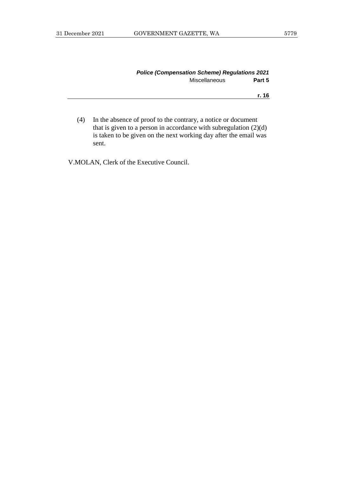| <b>Police (Compensation Scheme) Regulations 2021</b> |        |
|------------------------------------------------------|--------|
| <b>Miscellaneous</b>                                 | Part 5 |
|                                                      | r. 16  |
|                                                      |        |

(4) In the absence of proof to the contrary, a notice or document that is given to a person in accordance with subregulation (2)(d) is taken to be given on the next working day after the email was sent.

V.MOLAN, Clerk of the Executive Council.